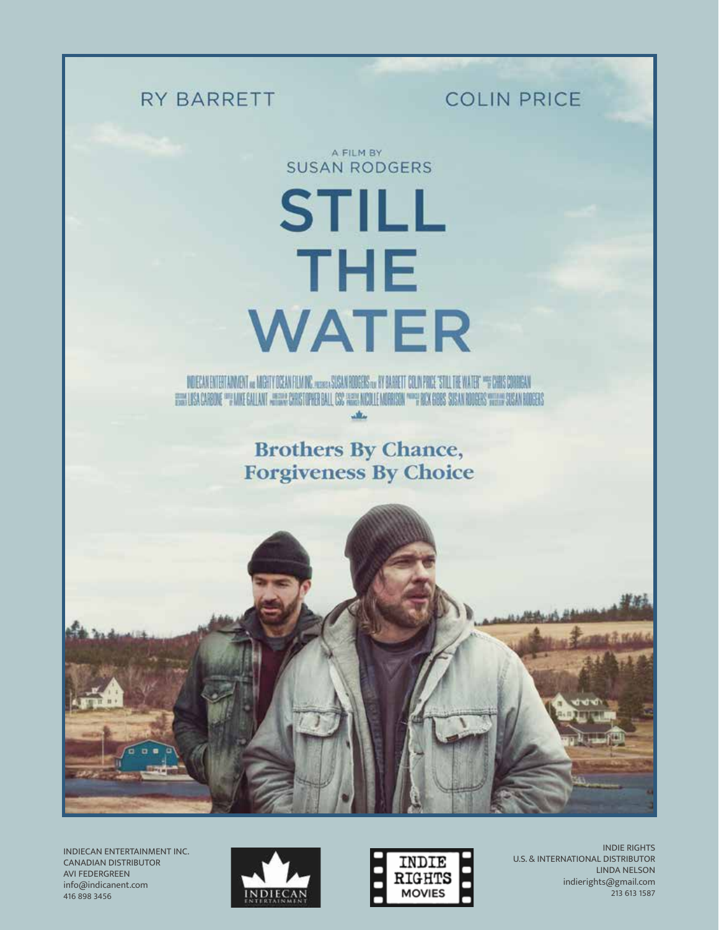## RY BARRETT

**COLIN PRICE** 

A FILM BY **SUSAN RODGERS** 

**STILL THE WATER** 

DOECAN ENTERTANNENT 10 MIGHT OCEAN FLIADIC ALABA SOCAN BODERS IN BY BARRETT COLN PRIX "STILL THE WATER" "FORMS CORREAN FIRM LISA CARRINE ""FINIE GALLANT JHERM CHRISTOPHER BALL CSC HERM NICOLE MORRISON """" BOX GOBS SUSAN RODERS WIELH SUSAN BODERS ستأفد

> **Brothers By Chance, Forgiveness By Choice**



INDIECAN ENTERTAINMENT INC. CANADIAN DISTRIBUTOR AVI FEDERGREEN info@indicanent.com 416 898 3456





INDIE RIGHTS U.S. & INTERNATIONAL DISTRIBUTOR LINDA NELSON indierights@gmail.com 213 613 1587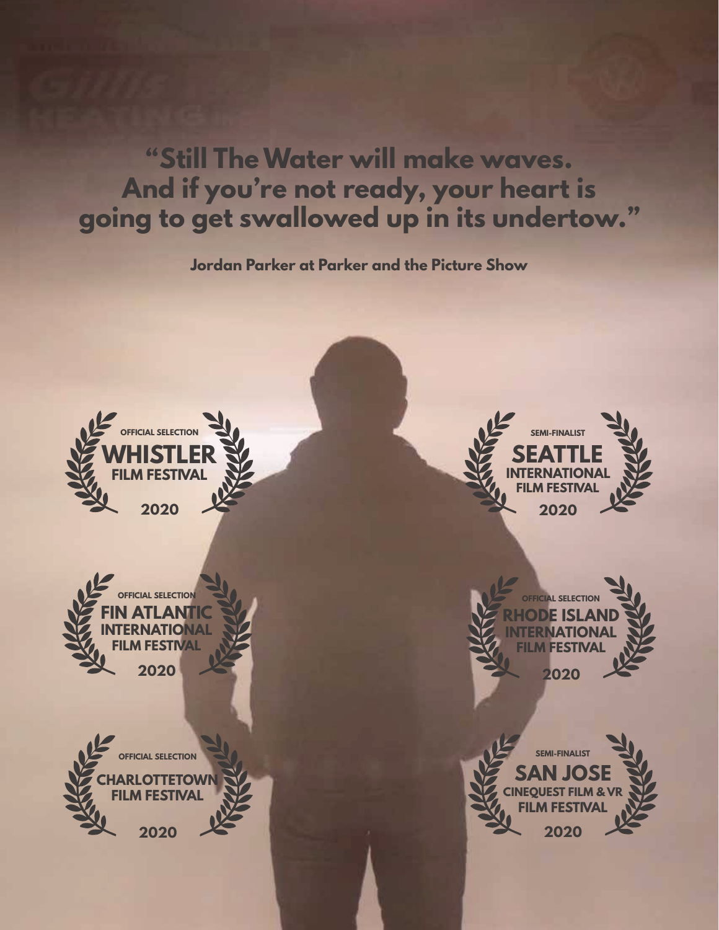**"Still The Water will make waves. And if you're not ready, your heart is going to get swallowed up in its undertow."**

**Jordan Parker at Parker and the Picture Show**

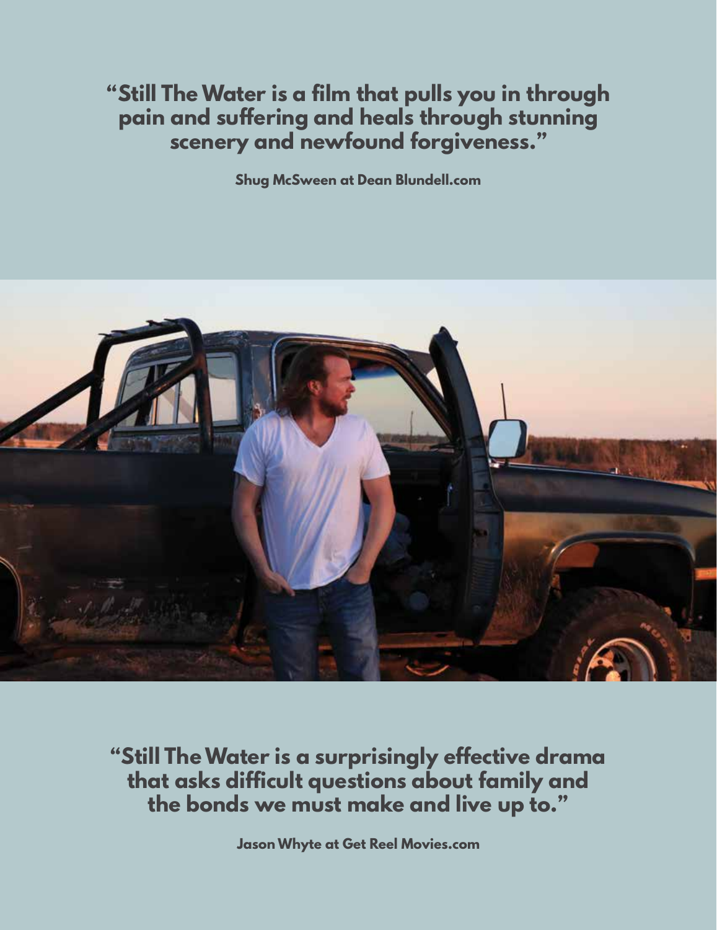**"Still The Water is a film that pulls you in through pain and suffering and heals through stunning scenery and newfound forgiveness."**

**Shug McSween at Dean Blundell.com**



**"Still The Water is a surprisingly effective drama that asks difficult questions about family and the bonds we must make and live up to."**

**Jason Whyte at Get Reel Movies.com**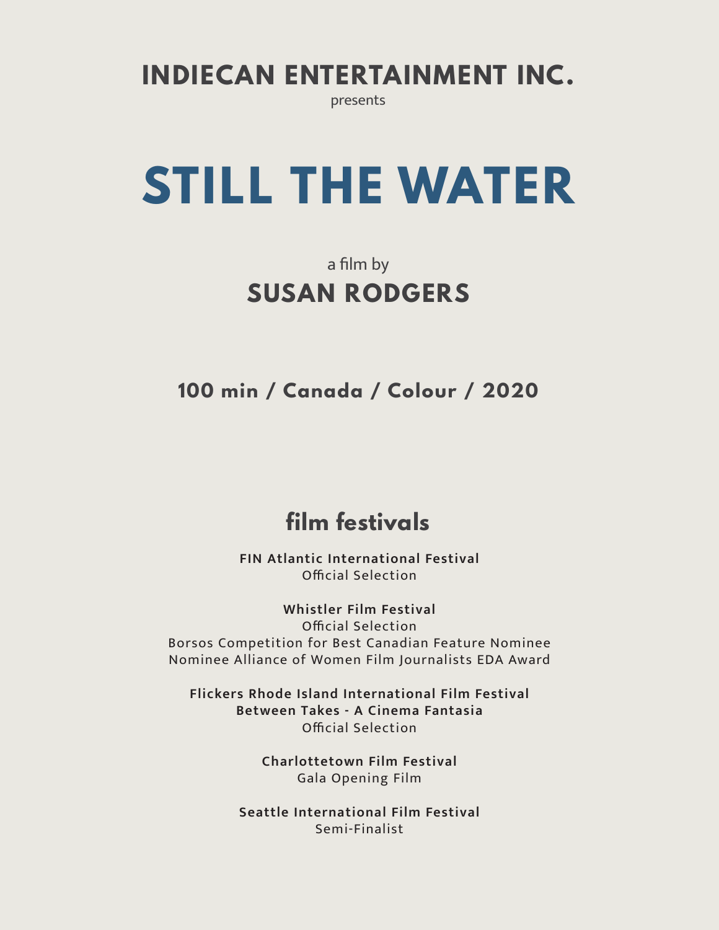**INDIECAN ENTERTAINMENT INC.**

presents

# **STILL THE WATER**

## a film by **SUSAN RODGERS**

**100 min / Canada / Colour / 2020**

## **film festivals**

**FIN Atlantic International Festival** Official Selection

**Whistler Film Festival** Official Selection Borsos Competition for Best Canadian Feature Nominee Nominee Alliance of Women Film Journalists EDA Award

**Flickers Rhode Island International Film Festival Between Takes - A Cinema Fantasia** Official Selection

> **Charlottetown Film Festival**  Gala Opening Film

**Seattle International Film Festival** Semi-Finalist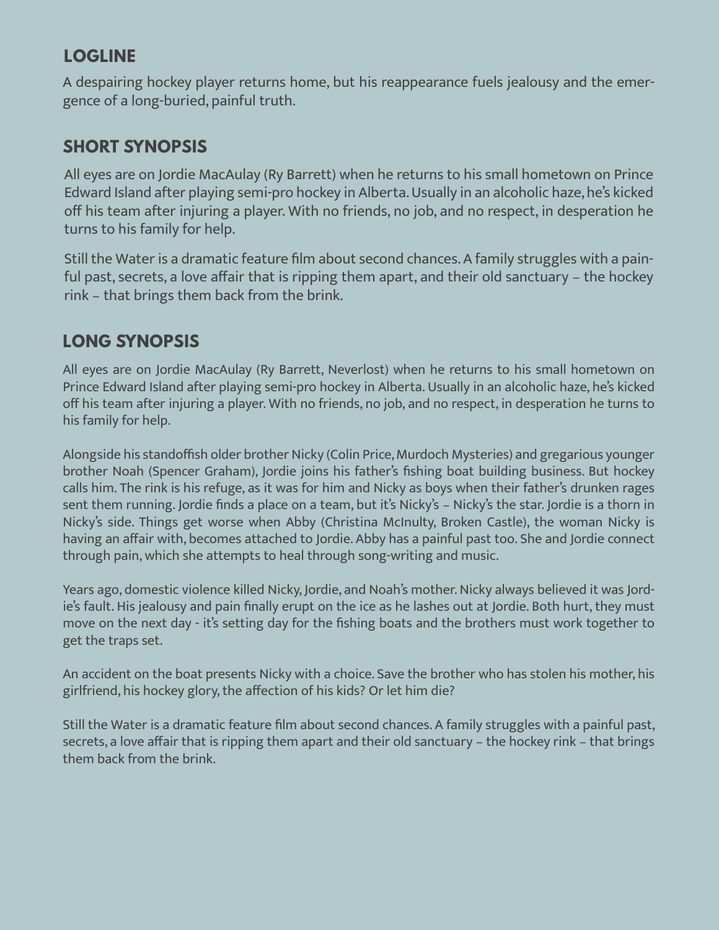## **LOGLINE**

A despairing hockey player returns home, but his reappearance fuels jealousy and the emergence of a long-buried, painful truth.

## **SHORT SYNOPSIS**

All eyes are on Jordie MacAulay (Ry Barrett) when he returns to his small hometown on Prince Edward Island after playing semi-pro hockey in Alberta. Usually in an alcoholic haze, he's kicked off his team after injuring a player. With no friends, no job, and no respect, in desperation he turns to his family for help.

Still the Water is a dramatic feature film about second chances. A family struggles with a painful past, secrets, a love affair that is ripping them apart, and their old sanctuary – the hockey rink – that brings them back from the brink.

## **LONG SYNOPSIS**

All eyes are on Jordie MacAulay (Ry Barrett, Neverlost) when he returns to his small hometown on Prince Edward Island after playing semi-pro hockey in Alberta. Usually in an alcoholic haze, he's kicked off his team after injuring a player. With no friends, no job, and no respect, in desperation he turns to his family for help.

Alongside his standoffish older brother Nicky (Colin Price, Murdoch Mysteries) and gregarious younger brother Noah (Spencer Graham), Jordie joins his father's fishing boat building business. But hockey calls him. The rink is his refuge, as it was for him and Nicky as boys when their father's drunken rages sent them running. Jordie finds a place on a team, but it's Nicky's – Nicky's the star. Jordie is a thorn in Nicky's side. Things get worse when Abby (Christina McInulty, Broken Castle), the woman Nicky is having an affair with, becomes attached to Jordie. Abby has a painful past too. She and Jordie connect through pain, which she attempts to heal through song-writing and music.

Years ago, domestic violence killed Nicky, Jordie, and Noah's mother. Nicky always believed it was Jordie's fault. His jealousy and pain finally erupt on the ice as he lashes out at Jordie. Both hurt, they must move on the next day - it's setting day for the fishing boats and the brothers must work together to get the traps set.

An accident on the boat presents Nicky with a choice. Save the brother who has stolen his mother, his girlfriend, his hockey glory, the affection of his kids? Or let him die?

Still the Water is a dramatic feature film about second chances. A family struggles with a painful past, secrets, a love affair that is ripping them apart and their old sanctuary – the hockey rink – that brings them back from the brink.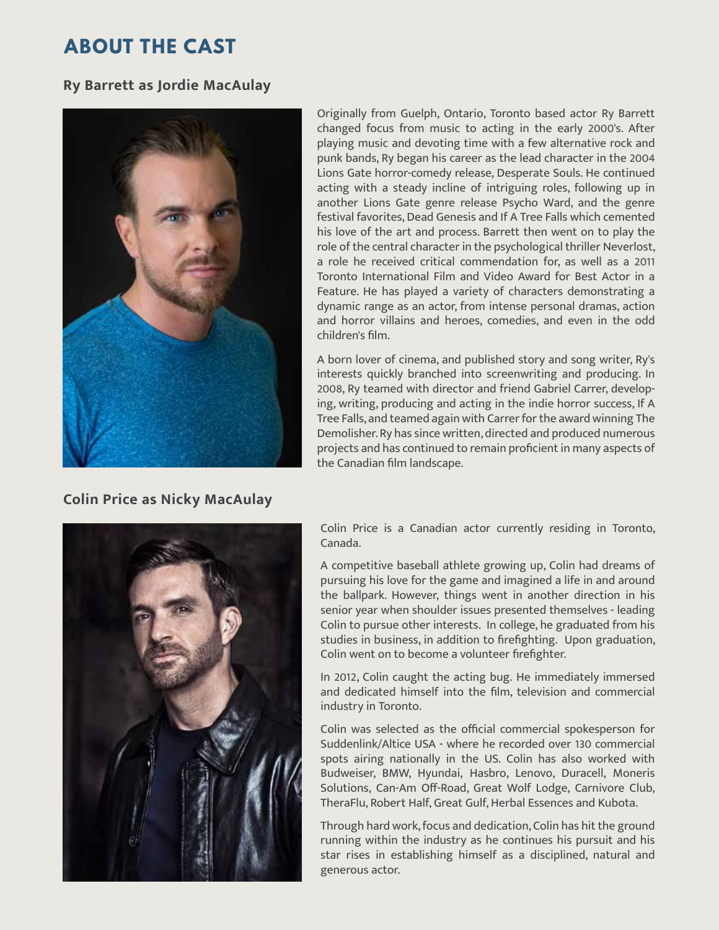## **ABOUT THE CAST**

#### **Ry Barrett as Jordie MacAulay**



Originally from Guelph, Ontario, Toronto based actor Ry Barrett changed focus from music to acting in the early 2000's. After playing music and devoting time with a few alternative rock and punk bands, Ry began his career as the lead character in the 2004 Lions Gate horror-comedy release, Desperate Souls. He continued acting with a steady incline of intriguing roles, following up in another Lions Gate genre release Psycho Ward, and the genre festival favorites, Dead Genesis and If A Tree Falls which cemented his love of the art and process. Barrett then went on to play the role of the central character in the psychological thriller Neverlost, a role he received critical commendation for, as well as a 2011 Toronto International Film and Video Award for Best Actor in a Feature. He has played a variety of characters demonstrating a dynamic range as an actor, from intense personal dramas, action and horror villains and heroes, comedies, and even in the odd children's film.

A born lover of cinema, and published story and song writer, Ry's interests quickly branched into screenwriting and producing. In 2008, Ry teamed with director and friend Gabriel Carrer, developing, writing, producing and acting in the indie horror success, If A Tree Falls, and teamed again with Carrer for the award winning The Demolisher. Ry has since written, directed and produced numerous projects and has continued to remain proficient in many aspects of the Canadian film landscape.

#### **Colin Price as Nicky MacAulay**



Colin Price is a Canadian actor currently residing in Toronto, Canada.

A competitive baseball athlete growing up, Colin had dreams of pursuing his love for the game and imagined a life in and around the ballpark. However, things went in another direction in his senior year when shoulder issues presented themselves - leading Colin to pursue other interests. In college, he graduated from his studies in business, in addition to firefighting. Upon graduation, Colin went on to become a volunteer firefighter.

In 2012, Colin caught the acting bug. He immediately immersed and dedicated himself into the film, television and commercial industry in Toronto.

Colin was selected as the official commercial spokesperson for Suddenlink/Altice USA - where he recorded over 130 commercial spots airing nationally in the US. Colin has also worked with Budweiser, BMW, Hyundai, Hasbro, Lenovo, Duracell, Moneris Solutions, Can-Am Off-Road, Great Wolf Lodge, Carnivore Club, TheraFlu, Robert Half, Great Gulf, Herbal Essences and Kubota.

Through hard work, focus and dedication, Colin has hit the ground running within the industry as he continues his pursuit and his star rises in establishing himself as a disciplined, natural and generous actor.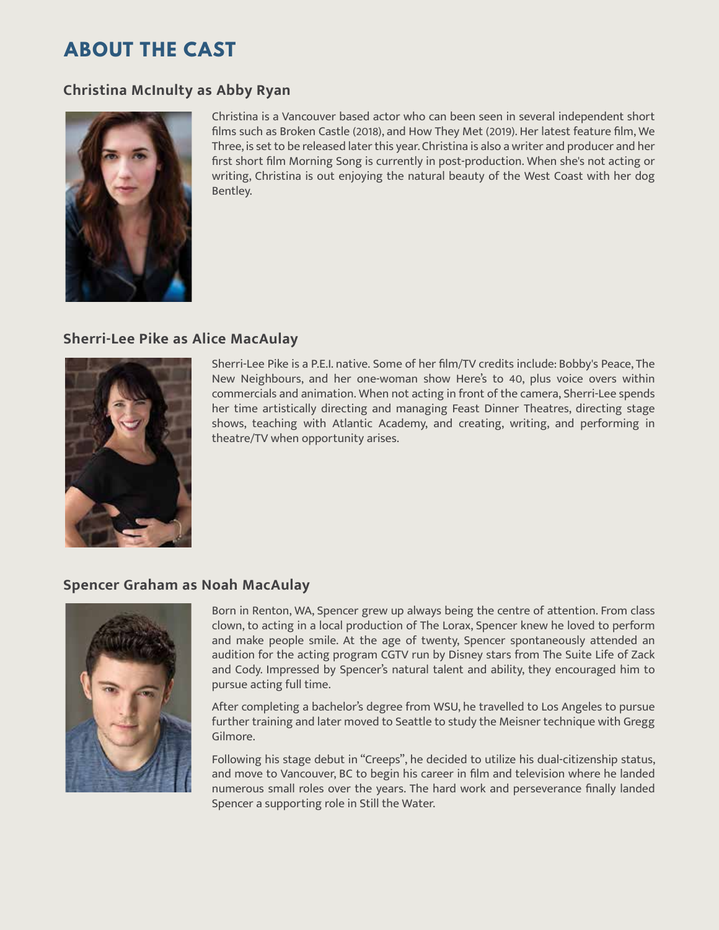## **ABOUT THE CAST**

#### **Christina McInulty as Abby Ryan**



Christina is a Vancouver based actor who can been seen in several independent short films such as Broken Castle (2018), and How They Met (2019). Her latest feature film, We Three, is set to be released later this year. Christina is also a writer and producer and her first short film Morning Song is currently in post-production. When she's not acting or writing, Christina is out enjoying the natural beauty of the West Coast with her dog Bentley.

#### **Sherri-Lee Pike as Alice MacAulay**



Sherri-Lee Pike is a P.E.I. native. Some of her film/TV credits include: Bobby's Peace, The New Neighbours, and her one-woman show Here's to 40, plus voice overs within commercials and animation. When not acting in front of the camera, Sherri-Lee spends her time artistically directing and managing Feast Dinner Theatres, directing stage shows, teaching with Atlantic Academy, and creating, writing, and performing in theatre/TV when opportunity arises.

#### **Spencer Graham as Noah MacAulay**



Born in Renton, WA, Spencer grew up always being the centre of attention. From class clown, to acting in a local production of The Lorax, Spencer knew he loved to perform and make people smile. At the age of twenty, Spencer spontaneously attended an audition for the acting program CGTV run by Disney stars from The Suite Life of Zack and Cody. Impressed by Spencer's natural talent and ability, they encouraged him to pursue acting full time.

After completing a bachelor's degree from WSU, he travelled to Los Angeles to pursue further training and later moved to Seattle to study the Meisner technique with Gregg Gilmore.

Following his stage debut in "Creeps", he decided to utilize his dual-citizenship status, and move to Vancouver, BC to begin his career in film and television where he landed numerous small roles over the years. The hard work and perseverance finally landed Spencer a supporting role in Still the Water.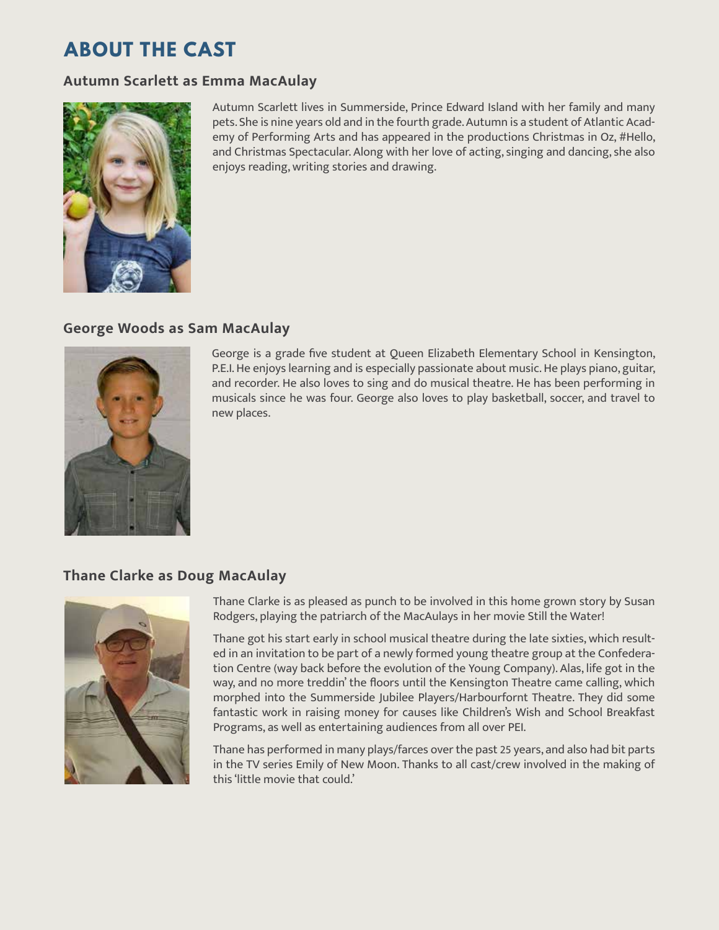## **ABOUT THE CAST**

#### **Autumn Scarlett as Emma MacAulay**



Autumn Scarlett lives in Summerside, Prince Edward Island with her family and many pets. She is nine years old and in the fourth grade. Autumn is a student of Atlantic Academy of Performing Arts and has appeared in the productions Christmas in Oz, #Hello, and Christmas Spectacular. Along with her love of acting, singing and dancing, she also enjoys reading, writing stories and drawing.

#### **George Woods as Sam MacAulay**



George is a grade five student at Queen Elizabeth Elementary School in Kensington, P.E.I. He enjoys learning and is especially passionate about music. He plays piano, guitar, and recorder. He also loves to sing and do musical theatre. He has been performing in musicals since he was four. George also loves to play basketball, soccer, and travel to new places.

#### **Thane Clarke as Doug MacAulay**



Thane Clarke is as pleased as punch to be involved in this home grown story by Susan Rodgers, playing the patriarch of the MacAulays in her movie Still the Water!

Thane got his start early in school musical theatre during the late sixties, which resulted in an invitation to be part of a newly formed young theatre group at the Confederation Centre (way back before the evolution of the Young Company). Alas, life got in the way, and no more treddin' the floors until the Kensington Theatre came calling, which morphed into the Summerside Jubilee Players/Harbourfornt Theatre. They did some fantastic work in raising money for causes like Children's Wish and School Breakfast Programs, as well as entertaining audiences from all over PEI.

Thane has performed in many plays/farces over the past 25 years, and also had bit parts in the TV series Emily of New Moon. Thanks to all cast/crew involved in the making of this 'little movie that could.'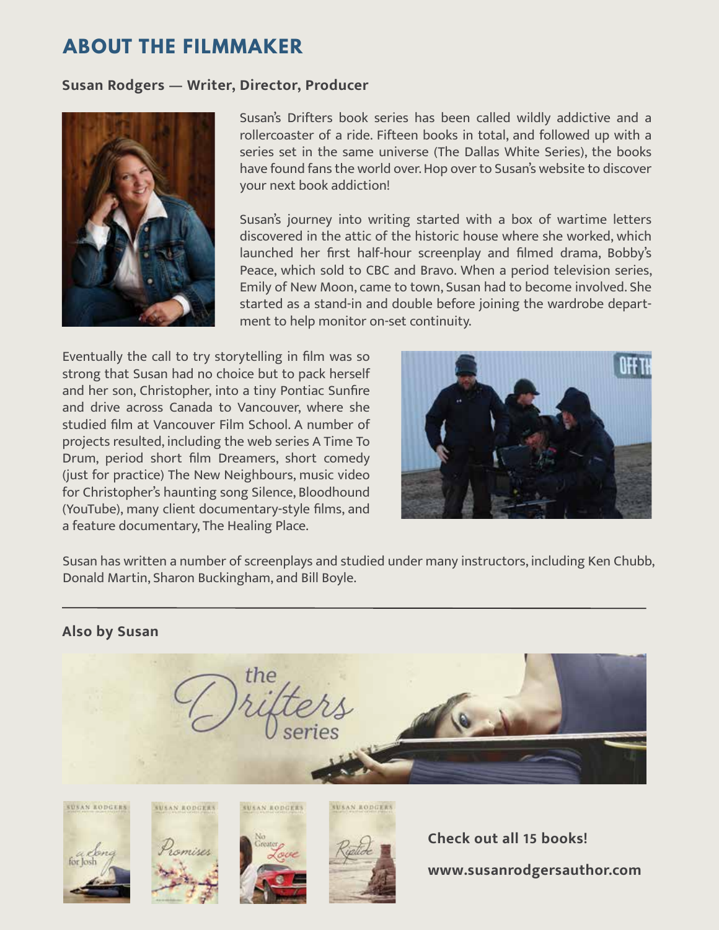## **ABOUT THE FILMMAKER**

#### **Susan Rodgers — Writer, Director, Producer**



Susan's Drifters book series has been called wildly addictive and a rollercoaster of a ride. Fifteen books in total, and followed up with a series set in the same universe (The Dallas White Series), the books have found fans the world over. Hop over to Susan's website to discover your next book addiction!

Susan's journey into writing started with a box of wartime letters discovered in the attic of the historic house where she worked, which launched her first half-hour screenplay and filmed drama, Bobby's Peace, which sold to CBC and Bravo. When a period television series, Emily of New Moon, came to town, Susan had to become involved. She started as a stand-in and double before joining the wardrobe department to help monitor on-set continuity.

Eventually the call to try storytelling in film was so strong that Susan had no choice but to pack herself and her son, Christopher, into a tiny Pontiac Sunfire and drive across Canada to Vancouver, where she studied film at Vancouver Film School. A number of projects resulted, including the web series A Time To Drum, period short film Dreamers, short comedy (just for practice) The New Neighbours, music video for Christopher's haunting song Silence, Bloodhound (YouTube), many client documentary-style films, and a feature documentary, The Healing Place.



Susan has written a number of screenplays and studied under many instructors, including Ken Chubb, Donald Martin, Sharon Buckingham, and Bill Boyle.

#### **Also by Susan**











**Check out all 15 books! www.susanrodgersauthor.com**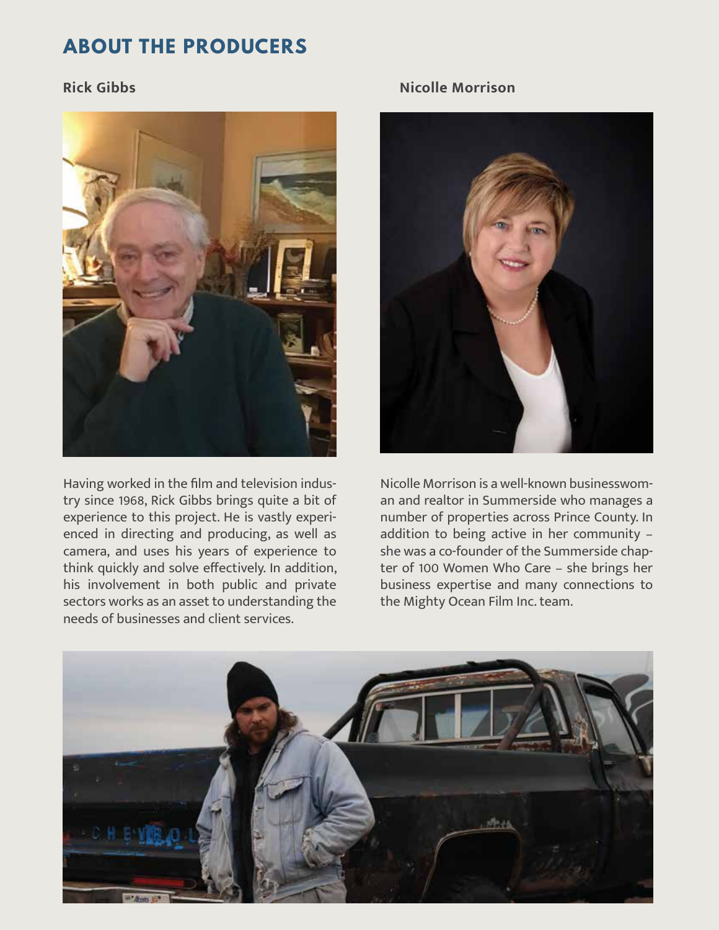## **ABOUT THE PRODUCERS**

### **Rick Gibbs**



Having worked in the film and television industry since 1968, Rick Gibbs brings quite a bit of experience to this project. He is vastly experienced in directing and producing, as well as camera, and uses his years of experience to think quickly and solve effectively. In addition, his involvement in both public and private sectors works as an asset to understanding the needs of businesses and client services.

### **Nicolle Morrison**



Nicolle Morrison is a well-known businesswoman and realtor in Summerside who manages a number of properties across Prince County. In addition to being active in her community – she was a co-founder of the Summerside chapter of 100 Women Who Care – she brings her business expertise and many connections to the Mighty Ocean Film Inc. team.

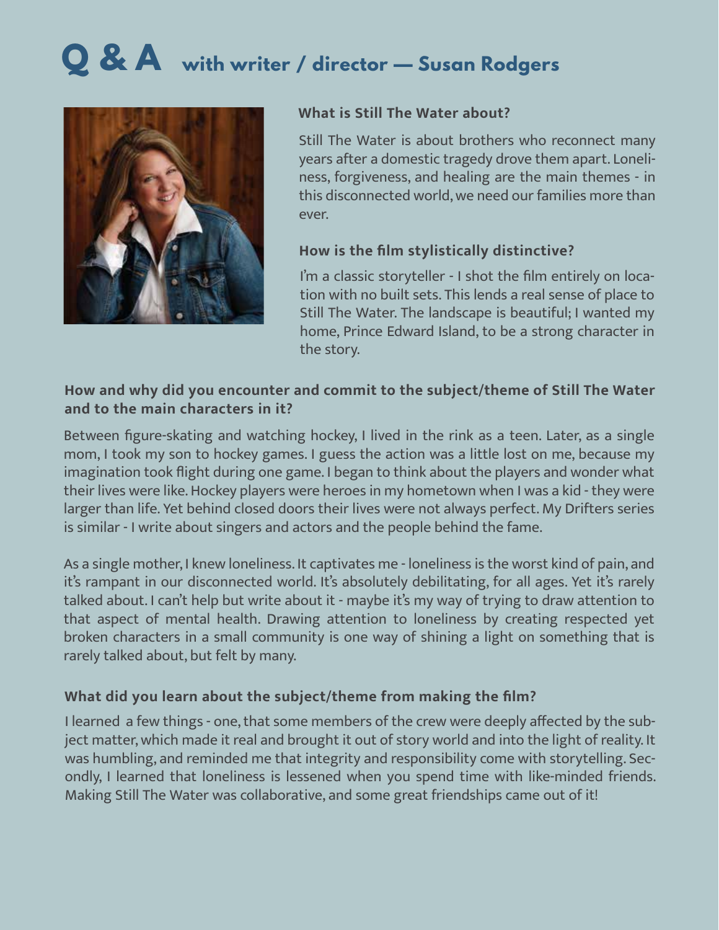## **Q & A with writer / director — Susan Rodgers**



### **What is Still The Water about?**

Still The Water is about brothers who reconnect many years after a domestic tragedy drove them apart. Loneliness, forgiveness, and healing are the main themes - in this disconnected world, we need our families more than ever.

## **How is the film stylistically distinctive?**

I'm a classic storyteller - I shot the film entirely on location with no built sets. This lends a real sense of place to Still The Water. The landscape is beautiful; I wanted my home, Prince Edward Island, to be a strong character in the story.

## **How and why did you encounter and commit to the subject/theme of Still The Water and to the main characters in it?**

Between figure-skating and watching hockey, I lived in the rink as a teen. Later, as a single mom, I took my son to hockey games. I guess the action was a little lost on me, because my imagination took flight during one game. I began to think about the players and wonder what their lives were like. Hockey players were heroes in my hometown when I was a kid - they were larger than life. Yet behind closed doors their lives were not always perfect. My Drifters series is similar - I write about singers and actors and the people behind the fame.

As a single mother, I knew loneliness. It captivates me - loneliness is the worst kind of pain, and it's rampant in our disconnected world. It's absolutely debilitating, for all ages. Yet it's rarely talked about. I can't help but write about it - maybe it's my way of trying to draw attention to that aspect of mental health. Drawing attention to loneliness by creating respected yet broken characters in a small community is one way of shining a light on something that is rarely talked about, but felt by many.

## **What did you learn about the subject/theme from making the film?**

I learned a few things - one, that some members of the crew were deeply affected by the subject matter, which made it real and brought it out of story world and into the light of reality. It was humbling, and reminded me that integrity and responsibility come with storytelling. Secondly, I learned that loneliness is lessened when you spend time with like-minded friends. Making Still The Water was collaborative, and some great friendships came out of it!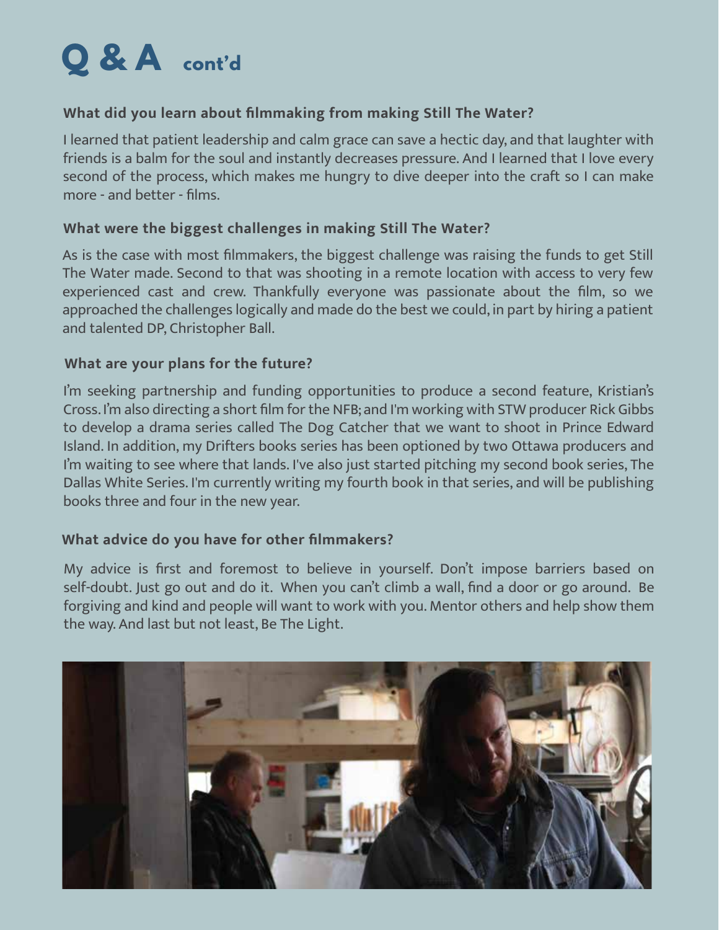

## **What did you learn about filmmaking from making Still The Water?**

I learned that patient leadership and calm grace can save a hectic day, and that laughter with friends is a balm for the soul and instantly decreases pressure. And I learned that I love every second of the process, which makes me hungry to dive deeper into the craft so I can make more - and better - films.

### **What were the biggest challenges in making Still The Water?**

As is the case with most filmmakers, the biggest challenge was raising the funds to get Still The Water made. Second to that was shooting in a remote location with access to very few experienced cast and crew. Thankfully everyone was passionate about the film, so we approached the challenges logically and made do the best we could, in part by hiring a patient and talented DP, Christopher Ball.

## **What are your plans for the future?**

I'm seeking partnership and funding opportunities to produce a second feature, Kristian's Cross. I'm also directing a short film for the NFB; and I'm working with STW producer Rick Gibbs to develop a drama series called The Dog Catcher that we want to shoot in Prince Edward Island. In addition, my Drifters books series has been optioned by two Ottawa producers and I'm waiting to see where that lands. I've also just started pitching my second book series, The Dallas White Series. I'm currently writing my fourth book in that series, and will be publishing books three and four in the new year.

## **What advice do you have for other filmmakers?**

My advice is first and foremost to believe in yourself. Don't impose barriers based on self-doubt. Just go out and do it. When you can't climb a wall, find a door or go around. Be forgiving and kind and people will want to work with you. Mentor others and help show them the way. And last but not least, Be The Light.

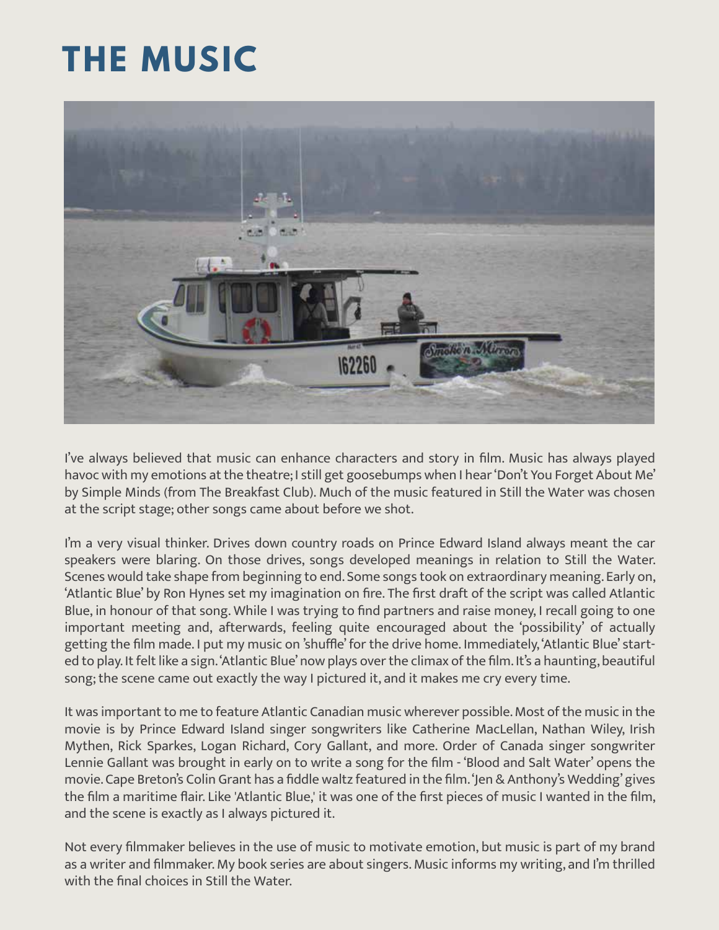## **THE MUSIC**



I've always believed that music can enhance characters and story in film. Music has always played havoc with my emotions at the theatre; I still get goosebumps when I hear 'Don't You Forget About Me' by Simple Minds (from The Breakfast Club). Much of the music featured in Still the Water was chosen at the script stage; other songs came about before we shot.

I'm a very visual thinker. Drives down country roads on Prince Edward Island always meant the car speakers were blaring. On those drives, songs developed meanings in relation to Still the Water. Scenes would take shape from beginning to end. Some songs took on extraordinary meaning. Early on, 'Atlantic Blue' by Ron Hynes set my imagination on fire. The first draft of the script was called Atlantic Blue, in honour of that song. While I was trying to find partners and raise money, I recall going to one important meeting and, afterwards, feeling quite encouraged about the 'possibility' of actually getting the film made. I put my music on 'shuffle' for the drive home. Immediately, 'Atlantic Blue' started to play. It felt like a sign. 'Atlantic Blue' now plays over the climax of the film. It's a haunting, beautiful song; the scene came out exactly the way I pictured it, and it makes me cry every time.

It was important to me to feature Atlantic Canadian music wherever possible. Most of the music in the movie is by Prince Edward Island singer songwriters like Catherine MacLellan, Nathan Wiley, Irish Mythen, Rick Sparkes, Logan Richard, Cory Gallant, and more. Order of Canada singer songwriter Lennie Gallant was brought in early on to write a song for the film - 'Blood and Salt Water' opens the movie. Cape Breton's Colin Grant has a fiddle waltz featured in the film. 'Jen & Anthony's Wedding' gives the film a maritime flair. Like 'Atlantic Blue,' it was one of the first pieces of music I wanted in the film, and the scene is exactly as I always pictured it.

Not every filmmaker believes in the use of music to motivate emotion, but music is part of my brand as a writer and filmmaker. My book series are about singers. Music informs my writing, and I'm thrilled with the final choices in Still the Water.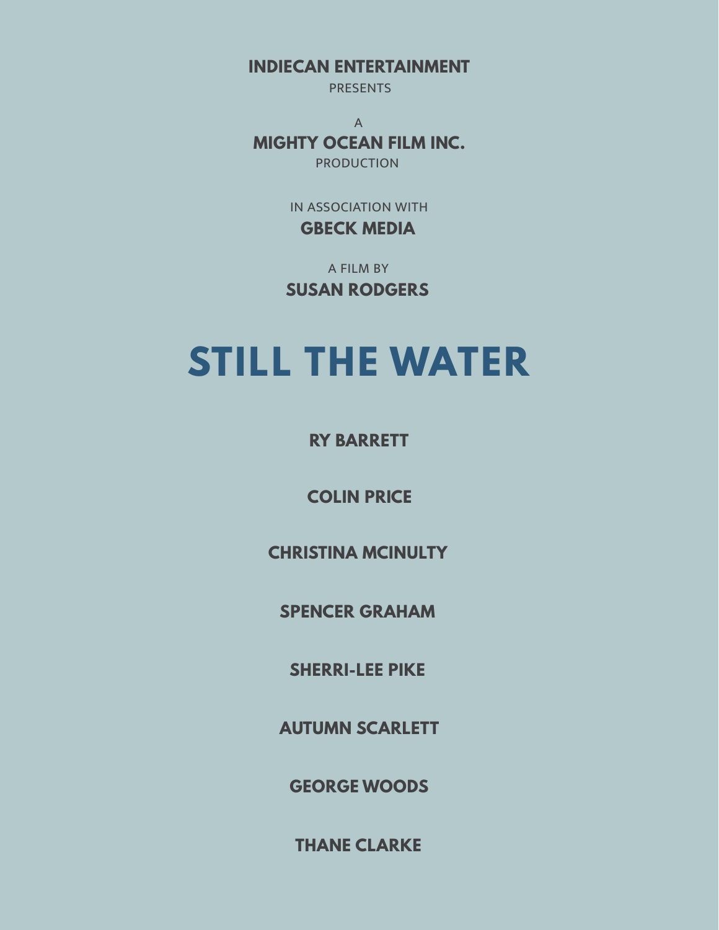**INDIECAN ENTERTAINMENT**

**PRESENTS** 

A **MIGHTY OCEAN FILM INC.** PRODUCTION

> IN ASSOCIATION WITH **GBECK MEDIA**

A FILM BY **SUSAN RODGERS**

## **STILL THE WATER**

**RY BARRETT**

**COLIN PRICE**

**CHRISTINA MCINULTY**

**SPENCER GRAHAM**

**SHERRI-LEE PIKE**

**AUTUMN SCARLETT**

**GEORGE WOODS**

**THANE CLARKE**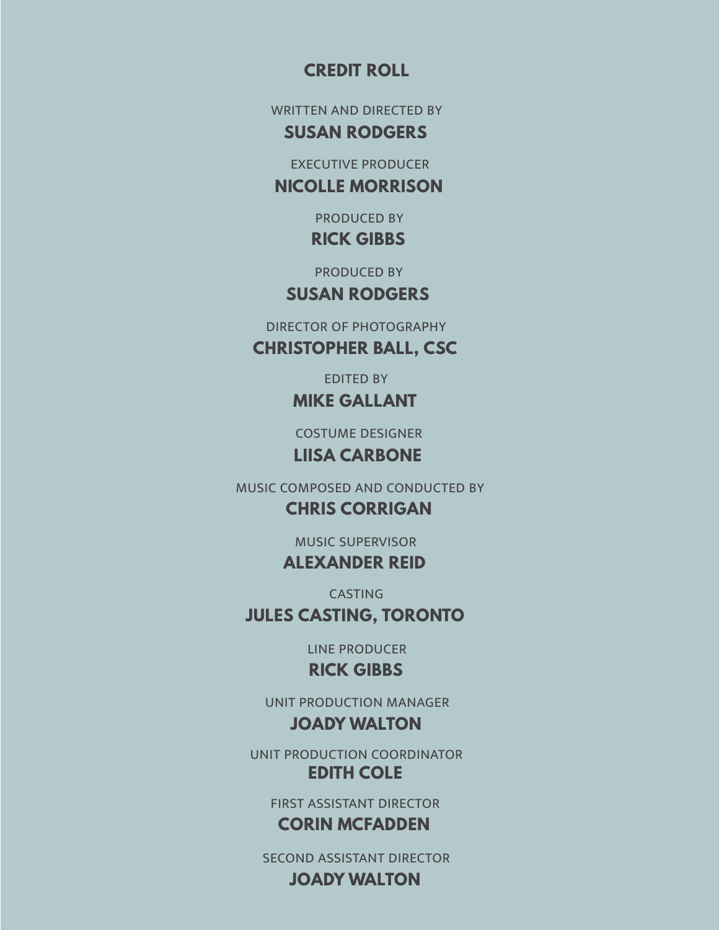## **CREDIT ROLL**

WRITTEN AND DIRECTED BY

**SUSAN RODGERS**

EXECUTIVE PRODUCER

**NICOLLE MORRISON**

PRODUCED BY **RICK GIBBS**

PRODUCED BY

## **SUSAN RODGERS**

DIRECTOR OF PHOTOGRAPHY

**CHRISTOPHER BALL, CSC**

EDITED BY **MIKE GALLANT**

COSTUME DESIGNER

**LIISA CARBONE**

MUSIC COMPOSED AND CONDUCTED BY

**CHRIS CORRIGAN**

**ALEXANDER REID**

CASTING **JULES CASTING, TORONTO**

> LINE PRODUCER **RICK GIBBS**

UNIT PRODUCTION MANAGER **JOADY WALTON**

UNIT PRODUCTION COORDINATOR **EDITH COLE**

FIRST ASSISTANT DIRECTOR **CORIN MCFADDEN**

SECOND ASSISTANT DIRECTOR **JOADY WALTON**

MUSIC SUPERVISOR